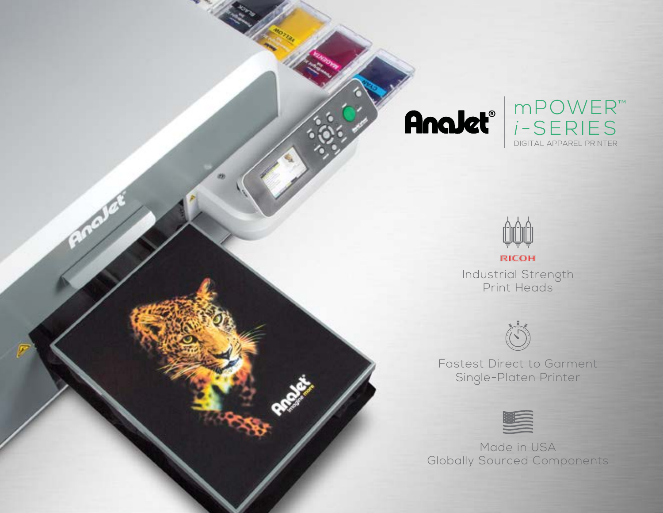





Industrial Strength Print Heads



Fastest Direct to Garment Single-Platen Printer



Made in USA Globally Sourced Components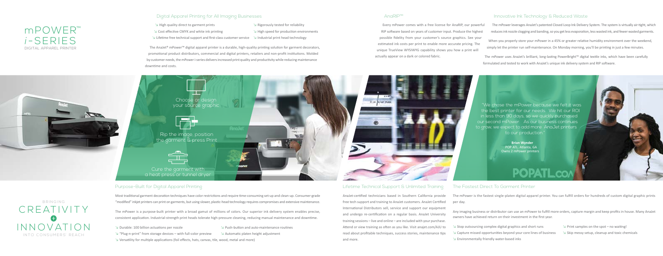## Digital Apparel Printing for All Imaging Businesses

- ↘ High quality direct to garment prints ↘ Rigorously tested for reliability
	-
- ↘ Cost effective CMYK and white ink printing ↘ High speed for production environments
- ↘ Lifetime free technical support and first-class customer service ↘ Industrial print head technology
- 
- 

The AnaJet® mPower™ digital apparel printer is a durable, high-quality printing solution for garment decorators, promotional product distributors, commercial and digital printers, retailers and non-profit institutions. Molded by customer needs, the mPower i-series delivers increased print quality and productivity while reducing maintenance downtime and costs.

#### AnaRIP™

Every mPower comes with a free license for AnaRIP, our powerful RIP software based on years of customer input. Produce the highest possible fidelity from your customer's source graphics. See your estimated ink costs per print to enable more accurate pricing. The unique TrueView WYSIWYG capability shows you how a print will actually appear on a dark or colored fabric.

# Innovative Ink Technology & Reduced Waste

The mPower leverages AnaJet's patented Closed Loop Ink Delivery System. The system is virtually air-tight, which reduces ink nozzle clogging and banding, so you get less evaporation, less wasted ink, and fewer wasted garments.

When you properly store your mPower in a 45% or greater relative humidity environment over the weekend, simply let the printer run self-maintenance. On Monday morning, you'll be printing in just a few minutes.

The mPower uses AnaJet's brilliant, long-lasting PowerBright™ digital textile inks, which have been carefully formulated and tested to work with AnaJet's unique ink delivery system and RIP software.

### Purpose-Built for Digital Apparel Printing

Most traditional garment decoration techniques have color restrictions and require time-consuming set-up and clean-up. Consumer-grade "modified" inkjet printers can print on garments, but using slower, plastic-head technology requires compromises and extensive maintenance.

The mPower is a purpose-built printer with a broad gamut of millions of colors. Our superior ink delivery system enables precise, consistent application. Industrial-strength print heads tolerate high-pressure cleaning, reducing manual maintenance and downtime.

↘ Durable: 100 billion actuations per nozzle ↘ Push-button and auto-maintenance routines ↘ "Plug-n-print" from storage devices – with full-color preview ↘ Automatic platen height adjustment ↘ Versatility for multiple applications (foil effects, hats, canvas, tile, wood, metal and more)

# Lifetime Technical Support & Unlimited Training

AnaJet-certified technicians based in Southern California provide free tech support and training to AnaJet customers. AnaJet Certified International Distributors sell, service and support our equipment and undergo re-certification on a regular basis. AnaJet University training sessions – live and online – are included with your purchase. Attend or view training as often as you like. Visit anajet.com/AJU to read about profitable techniques, success stories, maintenance tips and more.

# The Fastest Direct To Garment Printer

The mPower is the fastest single-platen digital apparel printer. You can fulfill orders for hundreds of custom digital graphic prints per day.

Any imaging business or distributor can use an mPower to fulfill more orders, capture margin and keep profits in house. Many AnaJet owners have achieved return on their investment in the first year.

- ↘ Stop outsourcing complex digital graphics and short runs ↘ Print samples on the spot no waiting!
	-
- ↘ Capture missed opportunities beyond your core lines of business ↘ Skip messy setup, cleanup and toxic chemicals
- ↘ Environmentally friendly water-based inks

# mPOWER™ *i* -SERIES DIGITAL APPAREL PRINTER

bringing CREATIVITY inno v ation into consumers' reach